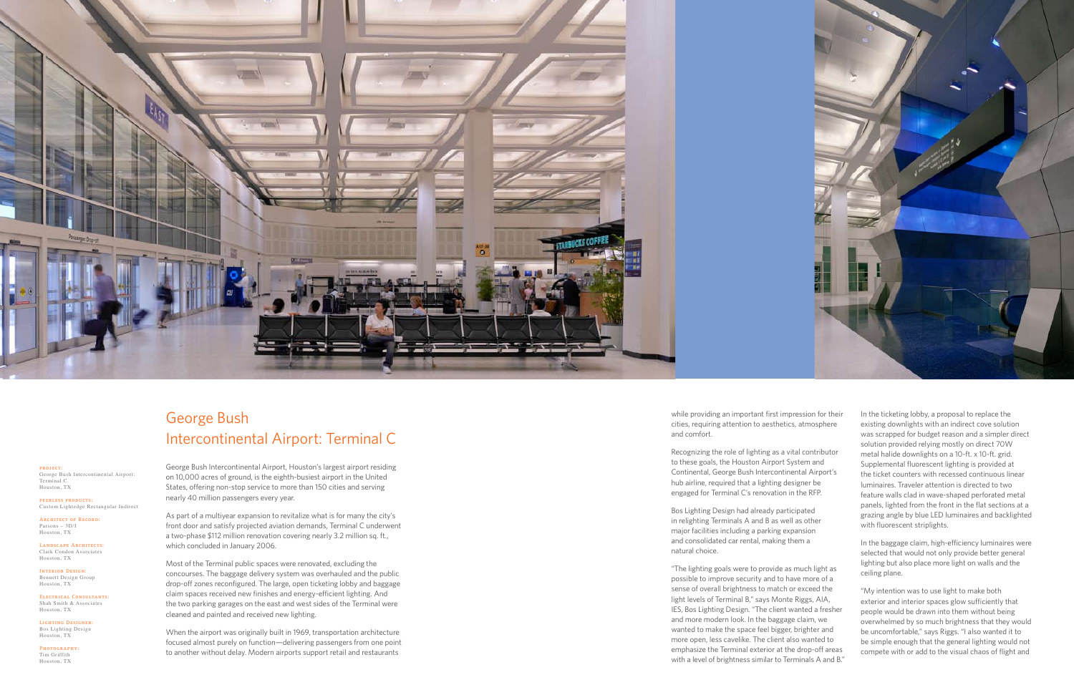

## George Bush Intercontinental Airport: Terminal C

George Bush Intercontinental Airport, Houston's largest airport residing on 10,000 acres of ground, is the eighth-busiest airport in the United States, offering non-stop service to more than 150 cities and serving nearly 40 million passengers every year.

As part of a multiyear expansion to revitalize what is for many the city's front door and satisfy projected aviation demands, Terminal C underwent a two-phase \$112 million renovation covering nearly 3.2 million sq. ft., which concluded in January 2006.

Most of the Terminal public spaces were renovated, excluding the concourses. The baggage delivery system was overhauled and the public drop-off zones reconfigured. The large, open ticketing lobby and baggage claim spaces received new finishes and energy-efficient lighting. And the two parking garages on the east and west sides of the Terminal were cleaned and painted and received new lighting.

When the airport was originally built in 1969, transportation architecture focused almost purely on function—delivering passengers from one point to another without delay. Modern airports support retail and restaurants

**project:** George Bush Intercontinental Airport: Terminal C Houston, TX

**peerless products:** Custom Lightedge Rectangular Indirect

**Architect of Record:** Parsons – 3D/I Houston, TX

**Landscape Architects:** Clark Condon Associates Houston, TX

**Interior Design:** Bennett Design Group Houston, TX

**Electrical Consultants:** Shah Smith & Associates Houston, TX

**Lighting Designer:** Bos Lighting Design Houston, TX

**Photography:** Tim Griffith Houston, TX

In the ticketing lobby, a proposal to replace the existing downlights with an indirect cove solution was scrapped for budget reason and a simpler direct solution provided relying mostly on direct 70W metal halide downlights on a 10-ft. x 10-ft. grid. Supplemental fluorescent lighting is provided at the ticket counters with recessed continuous linear luminaires. Traveler attention is directed to two feature walls clad in wave-shaped perforated metal panels, lighted from the front in the flat sections at a grazing angle by blue LED luminaires and backlighted with fluorescent striplights.

In the baggage claim, high-efficiency luminaires were selected that would not only provide better general lighting but also place more light on walls and the ceiling plane.

"My intention was to use light to make both exterior and interior spaces glow sufficiently that people would be drawn into them without being overwhelmed by so much brightness that they would be uncomfortable," says Riggs. "I also wanted it to be simple enough that the general lighting would not compete with or add to the visual chaos of flight and

while providing an important first impression for their cities, requiring attention to aesthetics, atmosphere and comfort.

Recognizing the role of lighting as a vital contributor to these goals, the Houston Airport System and Continental, George Bush Intercontinental Airport's hub airline, required that a lighting designer be engaged for Terminal C's renovation in the RFP.

Bos Lighting Design had already participated in relighting Terminals A and B as well as other major facilities including a parking expansion and consolidated car rental, making them a natural choice.

"The lighting goals were to provide as much light as possible to improve security and to have more of a sense of overall brightness to match or exceed the light levels of Terminal B," says Monte Riggs, AIA, IES, Bos Lighting Design. "The client wanted a fresher and more modern look. In the baggage claim, we wanted to make the space feel bigger, brighter and more open, less cavelike. The client also wanted to emphasize the Terminal exterior at the drop-off areas with a level of brightness similar to Terminals A and B."